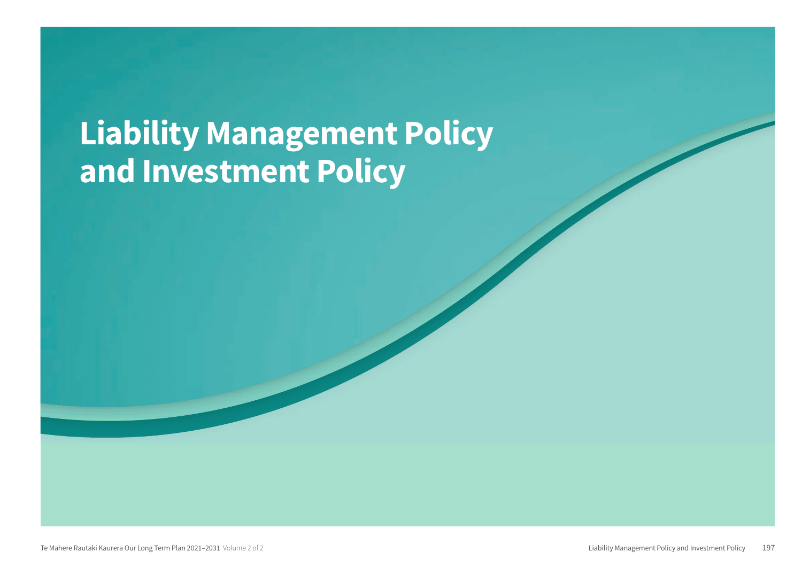# **Liability Management Policy** and Investment Policy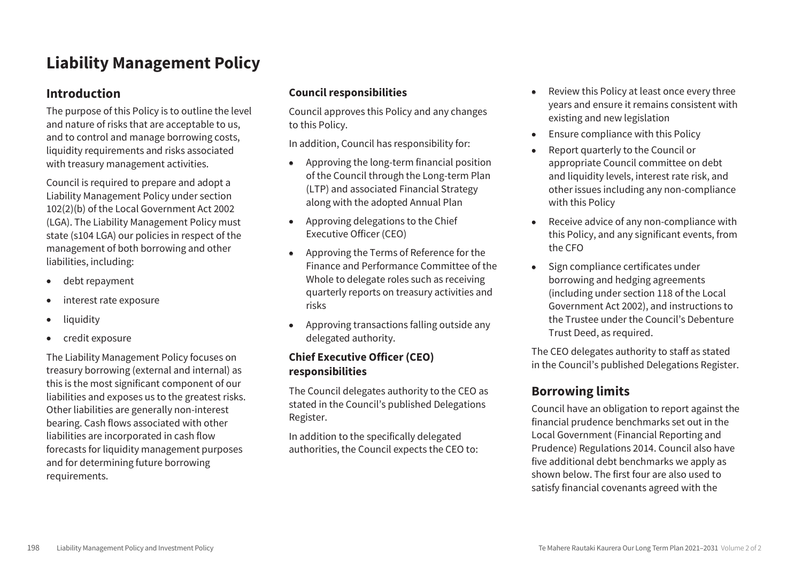# **Liability Management Policy**

## **Introduction**

The purpose of this Policy is to outline the level and nature of risks that are acceptable to us, and to control and manage borrowing costs, liquidity requirements and risks associated with treasury management activities.

Council is required to prepare and adopt a Liability Management Policy under section 102(2)(b) of the Local Government Act 2002 (LGA). The Liability Management Policy must state (s104 LGA) our policies in respect of the management of both borrowing and other liabilities, including:

- debt repayment
- interest rate exposure
- liquidity
- credit exposure

The Liability Management Policy focuses on treasury borrowing (external and internal) as this is the most significant component of our liabilities and exposes us to the greatest risks. Other liabilities are generally non-interest bearing. Cash flows associated with other liabilities are incorporated in cash flow forecasts for liquidity management purposes and for determining future borrowing requirements.

## **Council responsibilities**

Council approves this Policy and any changes to this Policy.

In addition, Council has responsibility for:

- Approving the long-term financial position of the Council through the Long-term Plan (LTP) and associated Financial Strategy along with the adopted Annual Plan
- Approving delegations to the Chief Executive Officer (CEO)
- Approving the Terms of Reference for the Finance and Performance Committee of the Whole to delegate roles such as receiving quarterly reports on treasury activities and risks
- Approving transactions falling outside any delegated authority.

## **Chief Executive Officer (CEO) responsibilities**

The Council delegates authority to the CEO as stated in the Council's published Delegations Register.

In addition to the specifically delegated authorities, the Council expects the CEO to:

- Review this Policy at least once every three years and ensure it remains consistent with existing and new legislation
- Ensure compliance with this Policy
- Report quarterly to the Council or appropriate Council committee on debt and liquidity levels, interest rate risk, and other issues including any non-compliance with this Policy
- Receive advice of any non-compliance with this Policy, and any significant events, from the CFO
- Sign compliance certificates under borrowing and hedging agreements (including under section 118 of the Local Government Act 2002), and instructions to the Trustee under the Council's Debenture Trust Deed, as required.

The CEO delegates authority to staff as stated in the Council's published Delegations Register.

# **Borrowing limits**

Council have an obligation to report against the financial prudence benchmarks set out in the Local Government (Financial Reporting and Prudence) Regulations 2014. Council also have five additional debt benchmarks we apply as shown below. The first four are also used to satisfy financial covenants agreed with the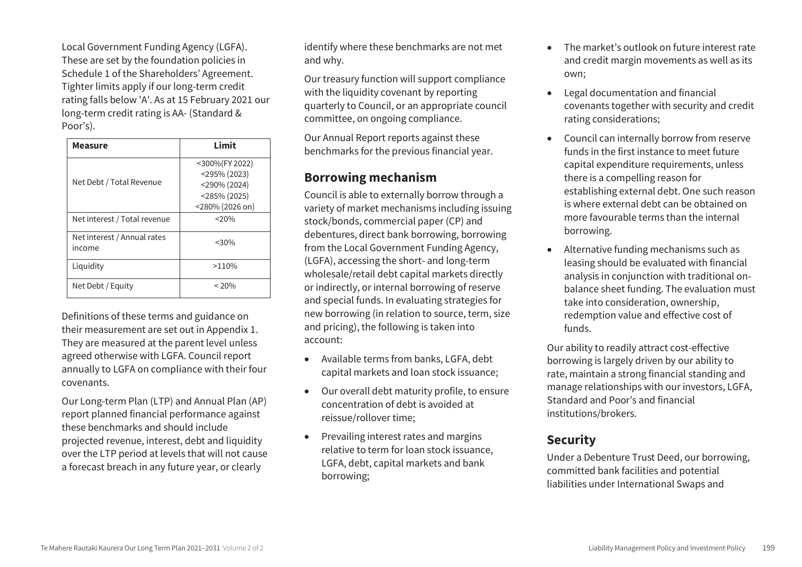Local Government Funding Agency (LGFA). These are set by the foundation policies in Schedule 1 of the Shareholders' Agreement. Tighter limits apply if our long-term credit rating falls below 'A'. As at 15 February 2021 our long-term credit rating is AA- (Standard & Poor's).

| <b>Measure</b>                        | Limit                                                                                |
|---------------------------------------|--------------------------------------------------------------------------------------|
| Net Debt / Total Revenue              | <300%(FY 2022)<br><295% (2023)<br><290% (2024)<br>$<$ 285% (2025)<br><280% (2026 on) |
| Net interest / Total revenue          | $20\%$                                                                               |
| Net interest / Annual rates<br>income | $<$ 30%                                                                              |
| Liquidity                             | >110%                                                                                |
| Net Debt / Equity                     | < 20%                                                                                |

Definitions of these terms and guidance on their measurement are set out in Appendix 1. They are measured at the parent level unless agreed otherwise with LGFA. Council report annually to LGFA on compliance with their four covenants.

Our Long-term Plan (LTP) and Annual Plan (AP) report planned financial performance against these benchmarks and should include projected revenue, interest, debt and liquidity over the LTP period at levels that will not cause a forecast breach in any future year, or clearly

identify where these benchmarks are not met and why.

Our treasury function will support compliance with the liquidity covenant by reporting quarterly to Council, or an appropriate council committee, on ongoing compliance.

Our Annual Report reports against these benchmarks for the previous financial year.

## **Borrowing mechanism**

Council is able to externally borrow through a variety of market mechanisms including issuing stock/bonds, commercial paper (CP) and debentures, direct bank borrowing, borrowing from the Local Government Funding Agency, (LGFA), accessing the short- and long-term wholesale/retail debt capital markets directly or indirectly, or internal borrowing of reserve and special funds. In evaluating strategies for new borrowing (in relation to source, term, size and pricing), the following is taken into account:

- Available terms from banks, LGFA, debt capital markets and loan stock issuance;
- Our overall debt maturity profile, to ensure concentration of debt is avoided at reissue/rollover time;
- Prevailing interest rates and margins relative to term for loan stock issuance, LGFA, debt, capital markets and bank borrowing;
- The market's outlook on future interest rate and credit margin movements as well as its own;
- Legal documentation and financial covenants together with security and credit rating considerations;
- Council can internally borrow from reserve funds in the first instance to meet future capital expenditure requirements, unless there is a compelling reason for establishing external debt. One such reason is where external debt can be obtained on more favourable terms than the internal borrowing.
- Alternative funding mechanisms such as leasing should be evaluated with financial analysis in conjunction with traditional onbalance sheet funding. The evaluation must take into consideration, ownership, redemption value and effective cost of funds.

Our ability to readily attract cost-effective borrowing is largely driven by our ability to rate, maintain a strong financial standing and manage relationships with our investors, LGFA, Standard and Poor's and financial institutions/brokers.

## **Security**

Under a Debenture Trust Deed, our borrowing, committed bank facilities and potential liabilities under International Swaps and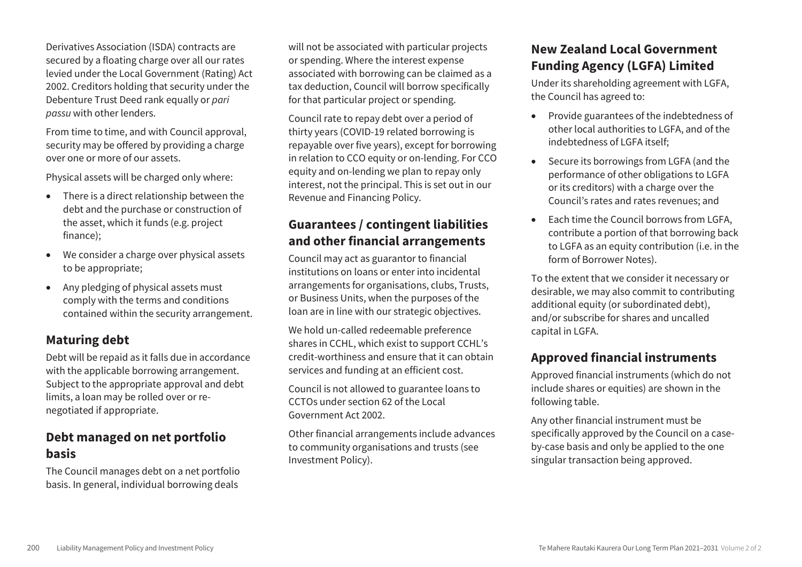Derivatives Association (ISDA) contracts are secured by a floating charge over all our rates levied under the Local Government (Rating) Act 2002. Creditors holding that security under the Debenture Trust Deed rank equally or *pari passu* with other lenders.

From time to time, and with Council approval, security may be offered by providing a charge over one or more of our assets.

Physical assets will be charged only where:

- There is a direct relationship between the debt and the purchase or construction of the asset, which it funds (e.g. project finance);
- We consider a charge over physical assets to be appropriate;
- Any pledging of physical assets must comply with the terms and conditions contained within the security arrangement.

# **Maturing debt**

Debt will be repaid as it falls due in accordance with the applicable borrowing arrangement. Subject to the appropriate approval and debt limits, a loan may be rolled over or renegotiated if appropriate.

## **Debt managed on net portfolio basis**

The Council manages debt on a net portfolio basis. In general, individual borrowing deals

will not be associated with particular projects or spending. Where the interest expense associated with borrowing can be claimed as a tax deduction, Council will borrow specifically for that particular project or spending.

Council rate to repay debt over a period of thirty years (COVID-19 related borrowing is repayable over five years), except for borrowing in relation to CCO equity or on-lending. For CCO equity and on-lending we plan to repay only interest, not the principal. This is set out in our Revenue and Financing Policy.

# **Guarantees / contingent liabilities and other financial arrangements**

Council may act as guarantor to financial institutions on loans or enter into incidental arrangements for organisations, clubs, Trusts, or Business Units, when the purposes of the loan are in line with our strategic objectives.

We hold un-called redeemable preference shares in CCHL, which exist to support CCHL's credit-worthiness and ensure that it can obtain services and funding at an efficient cost.

Council is not allowed to guarantee loans to CCTOs under section 62 of the Local Government Act 2002.

Other financial arrangements include advances to community organisations and trusts (see Investment Policy).

# **New Zealand Local Government Funding Agency (LGFA) Limited**

Under its shareholding agreement with LGFA, the Council has agreed to:

- Provide guarantees of the indebtedness of other local authorities to LGFA, and of the indebtedness of LGFA itself;
- Secure its borrowings from LGFA (and the performance of other obligations to LGFA or its creditors) with a charge over the Council's rates and rates revenues; and
- Each time the Council borrows from LGFA, contribute a portion of that borrowing back to LGFA as an equity contribution (i.e. in the form of Borrower Notes).

To the extent that we consider it necessary or desirable, we may also commit to contributing additional equity (or subordinated debt), and/or subscribe for shares and uncalled capital in LGFA.

## **Approved financial instruments**

Approved financial instruments (which do not include shares or equities) are shown in the following table.

Any other financial instrument must be specifically approved by the Council on a caseby-case basis and only be applied to the one singular transaction being approved.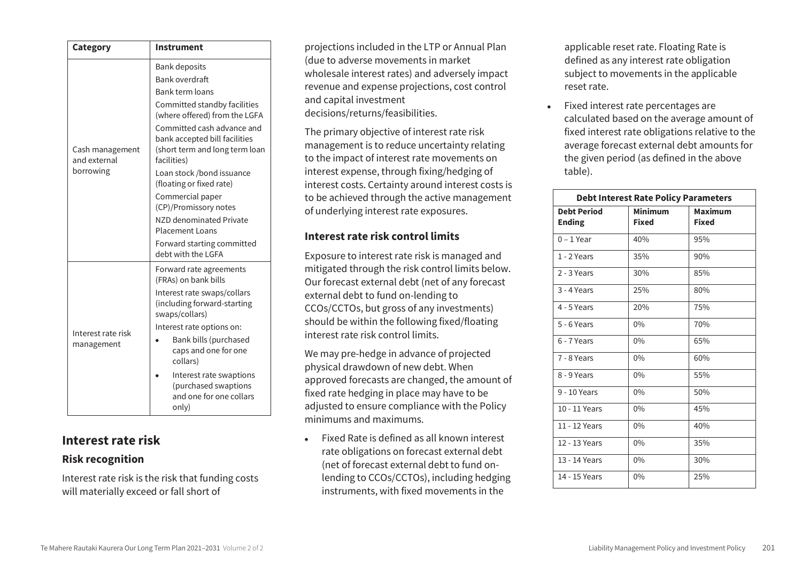| Category                                     | <b>Instrument</b>                                                                                                                             |
|----------------------------------------------|-----------------------------------------------------------------------------------------------------------------------------------------------|
| Cash management<br>and external<br>borrowing | <b>Bank deposits</b><br>Bank overdraft<br>Bank term loans<br>Committed standby facilities                                                     |
|                                              | (where offered) from the LGFA<br>Committed cash advance and<br>bank accepted bill facilities<br>(short term and long term loan<br>facilities) |
|                                              | Loan stock /bond issuance<br>(floating or fixed rate)                                                                                         |
|                                              | Commercial paper<br>(CP)/Promissory notes<br>NZD denominated Private                                                                          |
|                                              | <b>Placement Loans</b><br>Forward starting committed<br>debt with the LGFA                                                                    |
|                                              | Forward rate agreements<br>(FRAs) on bank bills                                                                                               |
| Interest rate risk<br>management             | Interest rate swaps/collars<br>(including forward-starting<br>swaps/collars)                                                                  |
|                                              | Interest rate options on:<br>Bank bills (purchased<br>caps and one for one<br>collars)                                                        |
|                                              | Interest rate swaptions<br>(purchased swaptions<br>and one for one collars<br>only)                                                           |

## **Interest rate risk Risk recognition**

Interest rate risk is the risk that funding costs will materially exceed or fall short of

projections included in the LTP or Annual Plan (due to adverse movements in market wholesale interest rates) and adversely impact revenue and expense projections, cost control and capital investment decisions/returns/feasibilities.

The primary objective of interest rate risk management is to reduce uncertainty relating to the impact of interest rate movements on interest expense, through fixing/hedging of interest costs. Certainty around interest costs is to be achieved through the active management of underlying interest rate exposures.

#### **Interest rate risk control limits**

Exposure to interest rate risk is managed and mitigated through the risk control limits below. Our forecast external debt (net of any forecast external debt to fund on-lending to CCOs/CCTOs, but gross of any investments) should be within the following fixed/floating interest rate risk control limits.

We may pre-hedge in advance of projected physical drawdown of new debt. When approved forecasts are changed, the amount of fixed rate hedging in place may have to be adjusted to ensure compliance with the Policy minimums and maximums.

 Fixed Rate is defined as all known interest rate obligations on forecast external debt (net of forecast external debt to fund onlending to CCOs/CCTOs), including hedging instruments, with fixed movements in the

applicable reset rate. Floating Rate is defined as any interest rate obligation subject to movements in the applicable reset rate.

 Fixed interest rate percentages are calculated based on the average amount of fixed interest rate obligations relative to the average forecast external debt amounts for the given period (as defined in the above table).

| <b>Debt Interest Rate Policy Parameters</b> |                                |                                |
|---------------------------------------------|--------------------------------|--------------------------------|
| <b>Debt Period</b>                          | <b>Minimum</b><br><b>Fixed</b> | <b>Maximum</b><br><b>Fixed</b> |
| <b>Ending</b>                               |                                |                                |
| $0 - 1$ Year                                | 40%                            | 95%                            |
| 1 - 2 Years                                 | 35%                            | 90%                            |
| 2 - 3 Years                                 | 30%                            | 85%                            |
| 3 - 4 Years                                 | 25%                            | 80%                            |
| 4 - 5 Years                                 | 20%                            | 75%                            |
| 5 - 6 Years                                 | $0\%$                          | 70%                            |
| 6 - 7 Years                                 | $0\%$                          | 65%                            |
| 7 - 8 Years                                 | $0\%$                          | 60%                            |
| 8 - 9 Years                                 | $0\%$                          | 55%                            |
| 9 - 10 Years                                | 0%                             | 50%                            |
| 10 - 11 Years                               | $0\%$                          | 45%                            |
| 11 - 12 Years                               | 0%                             | 40%                            |
| 12 - 13 Years                               | 0%                             | 35%                            |
| 13 - 14 Years                               | $0\%$                          | 30%                            |
| 14 - 15 Years                               | $0\%$                          | 25%                            |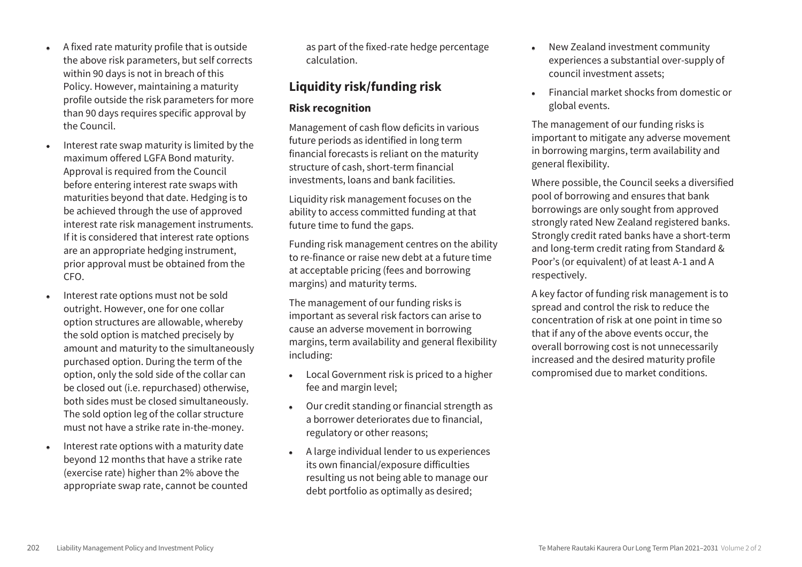- A fixed rate maturity profile that is outside the above risk parameters, but self corrects within 90 days is not in breach of this Policy. However, maintaining a maturity profile outside the risk parameters for more than 90 days requires specific approval by the Council.
- Interest rate swap maturity is limited by the maximum offered LGFA Bond maturity. Approval is required from the Council before entering interest rate swaps with maturities beyond that date. Hedging is to be achieved through the use of approved interest rate risk management instruments. If it is considered that interest rate options are an appropriate hedging instrument, prior approval must be obtained from the CFO.
- Interest rate options must not be sold outright. However, one for one collar option structures are allowable, whereby the sold option is matched precisely by amount and maturity to the simultaneously purchased option. During the term of the option, only the sold side of the collar can be closed out (i.e. repurchased) otherwise, both sides must be closed simultaneously. The sold option leg of the collar structure must not have a strike rate in-the-money.
- Interest rate options with a maturity date beyond 12 months that have a strike rate (exercise rate) higher than 2% above the appropriate swap rate, cannot be counted

as part of the fixed-rate hedge percentage calculation.

# **Liquidity risk/funding risk**

#### **Risk recognition**

Management of cash flow deficits in various future periods as identified in long term financial forecasts is reliant on the maturity structure of cash, short-term financial investments, loans and bank facilities.

Liquidity risk management focuses on the ability to access committed funding at that future time to fund the gaps.

Funding risk management centres on the ability to re-finance or raise new debt at a future time at acceptable pricing (fees and borrowing margins) and maturity terms.

The management of our funding risks is important as several risk factors can arise to cause an adverse movement in borrowing margins, term availability and general flexibility including:

- Local Government risk is priced to a higher fee and margin level;
- Our credit standing or financial strength as a borrower deteriorates due to financial, regulatory or other reasons;
- A large individual lender to us experiences its own financial/exposure difficulties resulting us not being able to manage our debt portfolio as optimally as desired;
- New Zealand investment community experiences a substantial over-supply of council investment assets;
- Financial market shocks from domestic or global events.

The management of our funding risks is important to mitigate any adverse movement in borrowing margins, term availability and general flexibility.

Where possible, the Council seeks a diversified pool of borrowing and ensures that bank borrowings are only sought from approved strongly rated New Zealand registered banks. Strongly credit rated banks have a short-term and long-term credit rating from Standard & Poor's (or equivalent) of at least A-1 and A respectively.

A key factor of funding risk management is to spread and control the risk to reduce the concentration of risk at one point in time so that if any of the above events occur, the overall borrowing cost is not unnecessarily increased and the desired maturity profile compromised due to market conditions.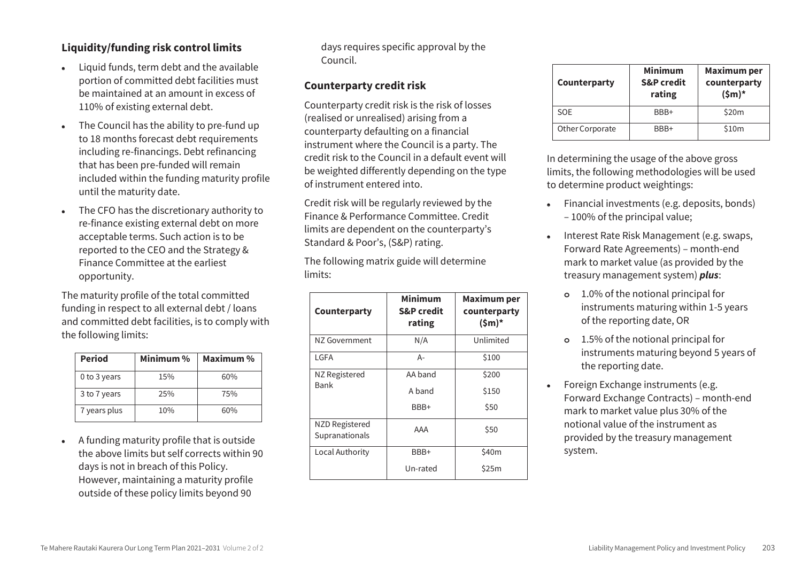#### **Liquidity/funding risk control limits**

- Liquid funds, term debt and the available portion of committed debt facilities must be maintained at an amount in excess of 110% of existing external debt.
- The Council has the ability to pre-fund up to 18 months forecast debt requirements including re-financings. Debt refinancing that has been pre-funded will remain included within the funding maturity profile until the maturity date.
- The CFO has the discretionary authority to re-finance existing external debt on more acceptable terms. Such action is to be reported to the CEO and the Strategy & Finance Committee at the earliest opportunity.

The maturity profile of the total committed funding in respect to all external debt / loans and committed debt facilities, is to comply with the following limits:

| <b>Period</b> | Minimum % | Maximum% |
|---------------|-----------|----------|
| 0 to 3 years  | 15%       | 60%      |
| 3 to 7 years  | 25%       | 75%      |
| 7 years plus  | 10%       | 60%      |

 A funding maturity profile that is outside the above limits but self corrects within 90 days is not in breach of this Policy. However, maintaining a maturity profile outside of these policy limits beyond 90

days requires specific approval by the Council.

#### **Counterparty credit risk**

Counterparty credit risk is the risk of losses (realised or unrealised) arising from a counterparty defaulting on a financial instrument where the Council is a party. The credit risk to the Council in a default event will be weighted differently depending on the type of instrument entered into.

Credit risk will be regularly reviewed by the Finance & Performance Committee. Credit limits are dependent on the counterparty's Standard & Poor's, (S&P) rating.

The following matrix guide will determine limits:

| Counterparty                     | <b>Minimum</b><br><b>S&amp;P</b> credit<br>rating | Maximum per<br>counterparty<br>$(\$m)^*$ |
|----------------------------------|---------------------------------------------------|------------------------------------------|
| NZ Government                    | N/A                                               | Unlimited                                |
| LGFA                             | А-                                                | \$100                                    |
| NZ Registered<br>Bank            | AA band                                           | \$200                                    |
|                                  | A band                                            | \$150                                    |
|                                  | BBB+                                              | \$50                                     |
| NZD Registered<br>Supranationals | AAA                                               | \$50                                     |
| Local Authority                  | BBB+                                              | \$40m                                    |
|                                  | Un-rated                                          | \$25m                                    |

| Counterparty    | <b>Minimum</b><br><b>S&amp;P</b> credit<br>rating | <b>Maximum per</b><br>counterparty<br>$(\mathsf{5m})^*$ |
|-----------------|---------------------------------------------------|---------------------------------------------------------|
| <b>SOE</b>      | BBB+                                              | \$20m                                                   |
| Other Corporate | RRR+                                              | \$10m                                                   |

In determining the usage of the above gross limits, the following methodologies will be used to determine product weightings:

- Financial investments (e.g. deposits, bonds) – 100% of the principal value;
- Interest Rate Risk Management (e.g. swaps, Forward Rate Agreements) – month-end mark to market value (as provided by the treasury management system) *plus*:
	- **o** 1.0% of the notional principal for instruments maturing within 1-5 years of the reporting date, OR
	- **o** 1.5% of the notional principal for instruments maturing beyond 5 years of the reporting date.
- Foreign Exchange instruments (e.g. Forward Exchange Contracts) – month-end mark to market value plus 30% of the notional value of the instrument as provided by the treasury management system.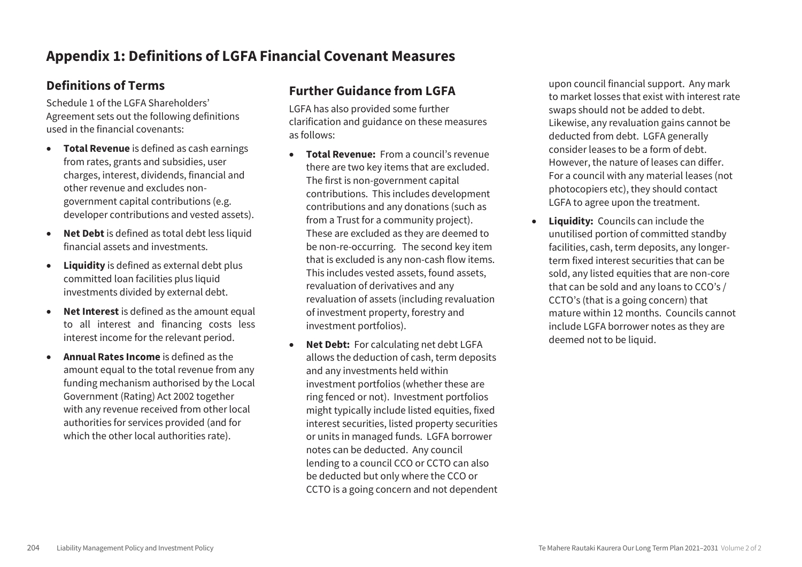# **Appendix 1: Definitions of LGFA Financial Covenant Measures**

## **Definitions of Terms**

Schedule 1 of the LGFA Shareholders' Agreement sets out the following definitions used in the financial covenants:

- **Total Revenue** is defined as cash earnings from rates, grants and subsidies, user charges, interest, dividends, financial and other revenue and excludes nongovernment capital contributions (e.g. developer contributions and vested assets).
- Net Debt is defined as total debt less liquid financial assets and investments.
- **Liquidity** is defined as external debt plus committed loan facilities plus liquid investments divided by external debt.
- **Net Interest** is defined as the amount equal to all interest and financing costs less interest income for the relevant period.
- **Annual Rates Income** is defined as the amount equal to the total revenue from any funding mechanism authorised by the Local Government (Rating) Act 2002 together with any revenue received from other local authorities for services provided (and for which the other local authorities rate).

## **Further Guidance from LGFA**

LGFA has also provided some further clarification and guidance on these measures as follows:

- **Total Revenue:** From a council's revenue there are two key items that are excluded. The first is non-government capital contributions. This includes development contributions and any donations (such as from a Trust for a community project). These are excluded as they are deemed to be non-re-occurring. The second key item that is excluded is any non-cash flow items. This includes vested assets, found assets, revaluation of derivatives and any revaluation of assets (including revaluation of investment property, forestry and investment portfolios).
- **Net Debt:** For calculating net debt LGFA allows the deduction of cash, term deposits and any investments held within investment portfolios (whether these are ring fenced or not). Investment portfolios might typically include listed equities, fixed interest securities, listed property securities or units in managed funds. LGFA borrower notes can be deducted. Any council lending to a council CCO or CCTO can also be deducted but only where the CCO or CCTO is a going concern and not dependent

upon council financial support. Any mark to market losses that exist with interest rate swaps should not be added to debt. Likewise, any revaluation gains cannot be deducted from debt. LGFA generally consider leases to be a form of debt. However, the nature of leases can differ. For a council with any material leases (not photocopiers etc), they should contact LGFA to agree upon the treatment.

 **Liquidity:** Councils can include the unutilised portion of committed standby facilities, cash, term deposits, any longerterm fixed interest securities that can be sold, any listed equities that are non-core that can be sold and any loans to CCO's / CCTO's (that is a going concern) that mature within 12 months. Councils cannot include LGFA borrower notes as they are deemed not to be liquid.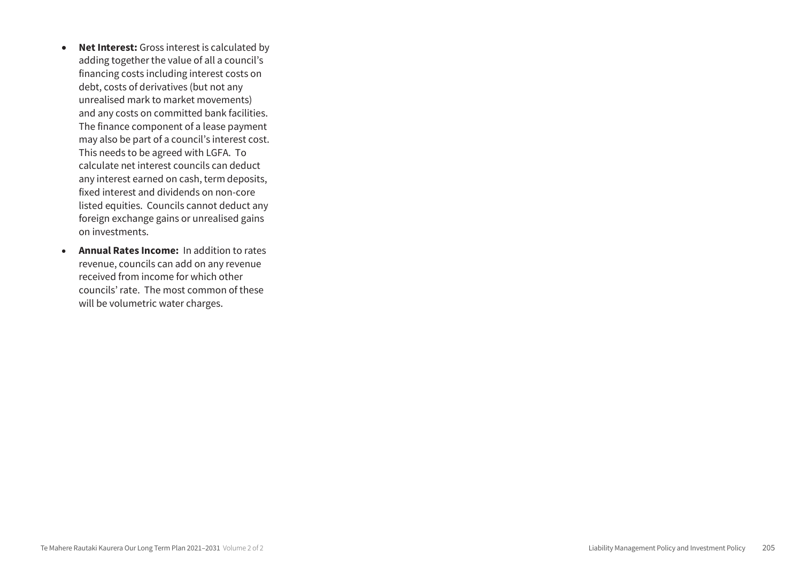- **Net the Mahering Control Control Control Control Control Control Control Control Control Control Control Control Control Control Control Control Control Control Control Control Control Control Control Control Control Cont** adding together the value of all a council's financing costs including interest costs on debt, costs of derivatives (but not any unrealised mark to market movements) and any costs on committed bank facilities. The finance component of a lease payment may also be part of a council's interest cost. This needs to be agreed with LGFA. To calculate net interest councils can deduct any interest earned on cash, term deposits, fixed interest and dividends on non-core listed equities. Councils cannot deduct any foreign exchange gains or unrealised gains on investments.
	- **Annual Rates Income:** In addition to rates revenue, councils can add on any revenue received from income for which other councils ' rate. The most common of these will be volumetric water charges.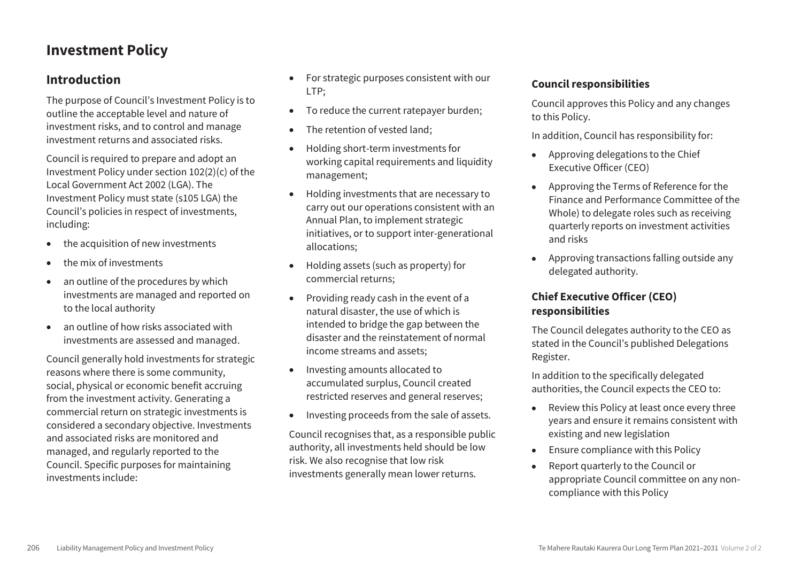# **Investment Policy**

## **Introduction**

The purpose of Council's Investment Policy is to outline the acceptable level and nature of investment risks, and to control and manage investment returns and associated risks.

Council is required to prepare and adopt an Investment Policy under section 102(2)(c) of the Local Government Act 2002 (LGA). The Investment Policy must state (s105 LGA) the Council's policies in respect of investments, including:

- the acquisition of new investments
- the mix of investments
- an outline of the procedures by which investments are managed and reported on to the local authority
- an outline of how risks associated with investments are assessed and managed.

Council generally hold investments for strategic reasons where there is some community, social, physical or economic benefit accruing from the investment activity. Generating a commercial return on strategic investments is considered a secondary objective. Investments and associated risks are monitored and managed, and regularly reported to the Council. Specific purposes for maintaining investments include:

- For strategic purposes consistent with our LTP;
- To reduce the current ratepayer burden:
- The retention of vested land;
- Holding short-term investments for working capital requirements and liquidity management;
- Holding investments that are necessary to carry out our operations consistent with an Annual Plan, to implement strategic initiatives, or to support inter-generational allocations;
- Holding assets (such as property) for commercial returns;
- Providing ready cash in the event of a natural disaster, the use of which is intended to bridge the gap between the disaster and the reinstatement of normal income streams and assets;
- Investing amounts allocated to accumulated surplus, Council created restricted reserves and general reserves;
- Investing proceeds from the sale of assets.

Council recognises that, as a responsible public authority, all investments held should be low risk. We also recognise that low risk investments generally mean lower returns.

#### **Council responsibilities**

Council approves this Policy and any changes to this Policy.

In addition, Council has responsibility for:

- Approving delegations to the Chief Executive Officer (CEO)
- Approving the Terms of Reference for the Finance and Performance Committee of the Whole) to delegate roles such as receiving quarterly reports on investment activities and risks
- Approving transactions falling outside any delegated authority.

## **Chief Executive Officer (CEO) responsibilities**

The Council delegates authority to the CEO as stated in the Council's published Delegations Register.

In addition to the specifically delegated authorities, the Council expects the CEO to:

- Review this Policy at least once every three years and ensure it remains consistent with existing and new legislation
- Ensure compliance with this Policy
- Report quarterly to the Council or appropriate Council committee on any noncompliance with this Policy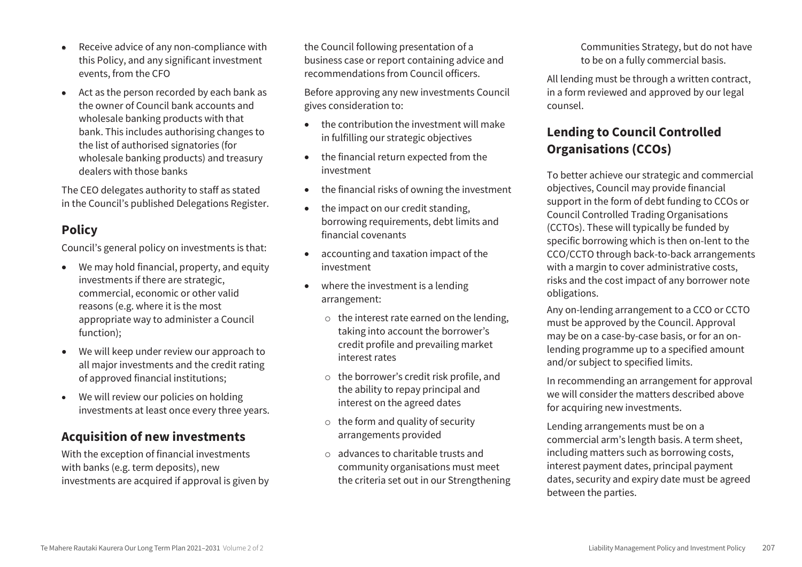- Receive advice of any non-compliance with this Policy, and any significant investment events, from the CFO
- Act as the person recorded by each bank as the owner of Council bank accounts and wholesale banking products with that bank. This includes authorising changes to the list of authorised signatories (for wholesale banking products) and treasury dealers with those banks

The CEO delegates authority to staff as stated in the Council's published Delegations Register.

## **Policy**

Council's general policy on investments is that:

- We may hold financial, property, and equity investments if there are strategic, commercial, economic or other valid reasons (e.g. where it is the most appropriate way to administer a Council function);
- We will keep under review our approach to all major investments and the credit rating of approved financial institutions;
- We will review our policies on holding investments at least once every three years.

## **Acquisition of new investments**

With the exception of financial investments with banks (e.g. term deposits), new investments are acquired if approval is given by the Council following presentation of a business case or report containing advice and recommendations from Council officers.

Before approving any new investments Council gives consideration to:

- the contribution the investment will make in fulfilling our strategic objectives
- the financial return expected from the investment
- the financial risks of owning the investment
- the impact on our credit standing, borrowing requirements, debt limits and financial covenants
- accounting and taxation impact of the investment
- where the investment is a lending arrangement:
	- o the interest rate earned on the lending, taking into account the borrower's credit profile and prevailing market interest rates
	- o the borrower's credit risk profile, and the ability to repay principal and interest on the agreed dates
	- o the form and quality of security arrangements provided
	- o advances to charitable trusts and community organisations must meet the criteria set out in our Strengthening

Communities Strategy, but do not have to be on a fully commercial basis.

All lending must be through a written contract, in a form reviewed and approved by our legal counsel.

# **Lending to Council Controlled Organisations (CCOs)**

To better achieve our strategic and commercial objectives, Council may provide financial support in the form of debt funding to CCOs or Council Controlled Trading Organisations (CCTOs). These will typically be funded by specific borrowing which is then on-lent to the CCO/CCTO through back-to-back arrangements with a margin to cover administrative costs, risks and the cost impact of any borrower note obligations.

Any on-lending arrangement to a CCO or CCTO must be approved by the Council. Approval may be on a case-by-case basis, or for an onlending programme up to a specified amount and/or subject to specified limits.

In recommending an arrangement for approval we will consider the matters described above for acquiring new investments.

Lending arrangements must be on a commercial arm's length basis. A term sheet, including matters such as borrowing costs, interest payment dates, principal payment dates, security and expiry date must be agreed between the parties.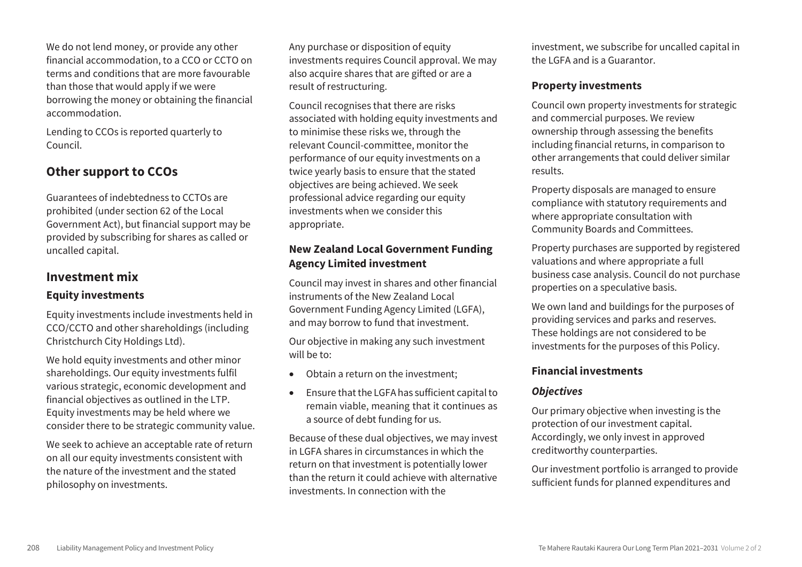We do not lend money, or provide any other financial accommodation, to a CCO or CCTO on terms and conditions that are more favourable than those that would apply if we were borrowing the money or obtaining the financial accommodation.

Lending to CCOs is reported quarterly to Council.

## **Other support to CCOs**

Guarantees of indebtedness to CCTOs are prohibited (under section 62 of the Local Government Act), but financial support may be provided by subscribing for shares as called or uncalled capital.

#### **Investment mix**

#### **Equity investments**

Equity investments include investments held in CCO/CCTO and other shareholdings (including Christchurch City Holdings Ltd).

We hold equity investments and other minor shareholdings. Our equity investments fulfil various strategic, economic development and financial objectives as outlined in the LTP. Equity investments may be held where we consider there to be strategic community value.

We seek to achieve an acceptable rate of return on all our equity investments consistent with the nature of the investment and the stated philosophy on investments.

Any purchase or disposition of equity investments requires Council approval. We may also acquire shares that are gifted or are a result of restructuring.

Council recognises that there are risks associated with holding equity investments and to minimise these risks we, through the relevant Council-committee, monitor the performance of our equity investments on a twice yearly basis to ensure that the stated objectives are being achieved. We seek professional advice regarding our equity investments when we consider this appropriate.

#### **New Zealand Local Government Funding Agency Limited investment**

Council may invest in shares and other financial instruments of the New Zealand Local Government Funding Agency Limited (LGFA), and may borrow to fund that investment.

Our objective in making any such investment will be to:

- Obtain a return on the investment;
- Ensure that the LGFA has sufficient capital to remain viable, meaning that it continues as a source of debt funding for us.

Because of these dual objectives, we may invest in LGFA shares in circumstances in which the return on that investment is potentially lower than the return it could achieve with alternative investments. In connection with the

investment, we subscribe for uncalled capital in the LGFA and is a Guarantor.

#### **Property investments**

Council own property investments for strategic and commercial purposes. We review ownership through assessing the benefits including financial returns, in comparison to other arrangements that could deliver similar results.

Property disposals are managed to ensure compliance with statutory requirements and where appropriate consultation with Community Boards and Committees.

Property purchases are supported by registered valuations and where appropriate a full business case analysis. Council do not purchase properties on a speculative basis.

We own land and buildings for the purposes of providing services and parks and reserves. These holdings are not considered to be investments for the purposes of this Policy.

#### **Financial investments**

#### *Objectives*

Our primary objective when investing is the protection of our investment capital. Accordingly, we only invest in approved creditworthy counterparties.

Our investment portfolio is arranged to provide sufficient funds for planned expenditures and